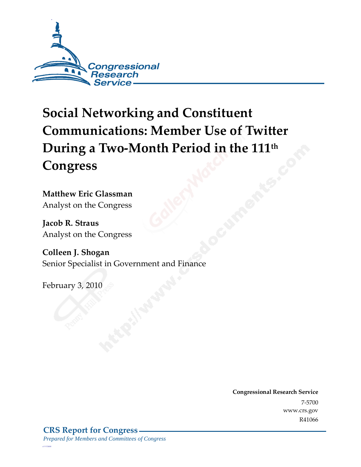

# **Social Networking and Constituent Communications: Member Use of Twitter During a Two-Month Period in the 111th Congress**

**Matthew Eric Glassman**  Analyst on the Congress

**Jacob R. Straus**  Analyst on the Congress

**Colleen J. Shogan**  Senior Specialist in Government and Finance

February 3, 2010

*c11173008*

**Congressional Research Service** 7-5700 www.crs.gov R41066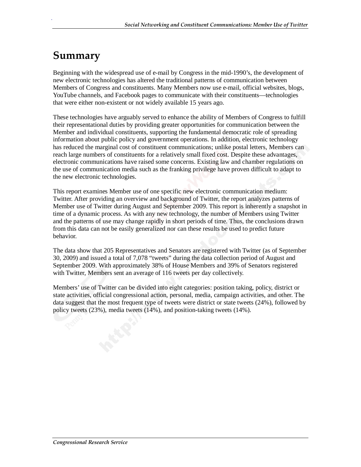## **Summary**

.

Beginning with the widespread use of e-mail by Congress in the mid-1990's, the development of new electronic technologies has altered the traditional patterns of communication between Members of Congress and constituents. Many Members now use e-mail, official websites, blogs, YouTube channels, and Facebook pages to communicate with their constituents—technologies that were either non-existent or not widely available 15 years ago.

These technologies have arguably served to enhance the ability of Members of Congress to fulfill their representational duties by providing greater opportunities for communication between the Member and individual constituents, supporting the fundamental democratic role of spreading information about public policy and government operations. In addition, electronic technology has reduced the marginal cost of constituent communications; unlike postal letters, Members can reach large numbers of constituents for a relatively small fixed cost. Despite these advantages, electronic communications have raised some concerns. Existing law and chamber regulations on the use of communication media such as the franking privilege have proven difficult to adapt to the new electronic technologies.

This report examines Member use of one specific new electronic communication medium: Twitter. After providing an overview and background of Twitter, the report analyzes patterns of Member use of Twitter during August and September 2009. This report is inherently a snapshot in time of a dynamic process. As with any new technology, the number of Members using Twitter and the patterns of use may change rapidly in short periods of time. Thus, the conclusions drawn from this data can not be easily generalized nor can these results be used to predict future behavior.

The data show that 205 Representatives and Senators are registered with Twitter (as of September 30, 2009) and issued a total of 7,078 "tweets" during the data collection period of August and September 2009. With approximately 38% of House Members and 39% of Senators registered with Twitter, Members sent an average of 116 tweets per day collectively.

Members' use of Twitter can be divided into eight categories: position taking, policy, district or state activities, official congressional action, personal, media, campaign activities, and other. The data suggest that the most frequent type of tweets were district or state tweets (24%), followed by policy tweets (23%), media tweets (14%), and position-taking tweets (14%).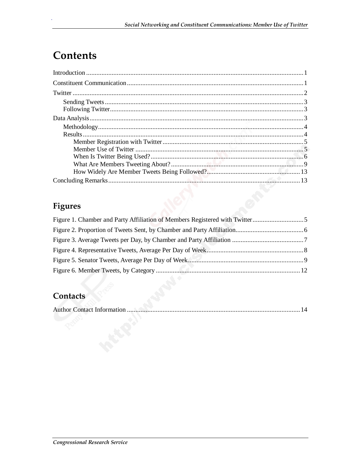## **Contents**

### **Figures**

### Contacts

|--|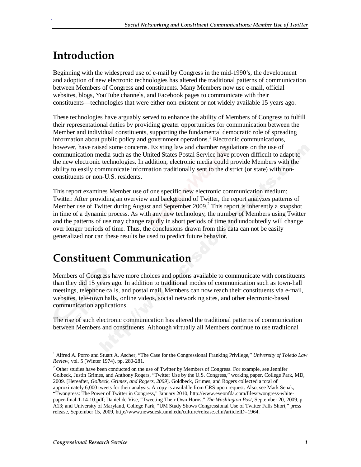## **Introduction**

.

Beginning with the widespread use of e-mail by Congress in the mid-1990's, the development and adoption of new electronic technologies has altered the traditional patterns of communication between Members of Congress and constituents. Many Members now use e-mail, official websites, blogs, YouTube channels, and Facebook pages to communicate with their constituents—technologies that were either non-existent or not widely available 15 years ago.

These technologies have arguably served to enhance the ability of Members of Congress to fulfill their representational duties by providing greater opportunities for communication between the Member and individual constituents, supporting the fundamental democratic role of spreading information about public policy and government operations.<sup>1</sup> Electronic communications, however, have raised some concerns. Existing law and chamber regulations on the use of communication media such as the United States Postal Service have proven difficult to adapt to the new electronic technologies. In addition, electronic media could provide Members with the ability to easily communicate information traditionally sent to the district (or state) with nonconstituents or non-U.S. residents.

This report examines Member use of one specific new electronic communication medium: Twitter. After providing an overview and background of Twitter, the report analyzes patterns of Member use of Twitter during August and September  $2009$ .<sup>2</sup> This report is inherently a snapshot in time of a dynamic process. As with any new technology, the number of Members using Twitter and the patterns of use may change rapidly in short periods of time and undoubtedly will change over longer periods of time. Thus, the conclusions drawn from this data can not be easily generalized nor can these results be used to predict future behavior.

## **Constituent Communication**

Members of Congress have more choices and options available to communicate with constituents than they did 15 years ago. In addition to traditional modes of communication such as town-hall meetings, telephone calls, and postal mail, Members can now reach their constituents via e-mail, websites, tele-town halls, online videos, social networking sites, and other electronic-based communication applications.

The rise of such electronic communication has altered the traditional patterns of communication between Members and constituents. Although virtually all Members continue to use traditional

<sup>-</sup><sup>1</sup> Alfred A. Porro and Stuart A. Ascher, "The Case for the Congressional Franking Privilege," University of Toledo Law *Review*, vol. 5 (Winter 1974), pp. 280-281.

<sup>&</sup>lt;sup>2</sup> Other studies have been conducted on the use of Twitter by Members of Congress. For example, see Jennifer Golbeck, Justin Grimes, and Anthony Rogers, "Twitter Use by the U.S. Congress," working paper, College Park, MD, 2009. [Hereafter, *Golbeck, Grimes, and Rogers, 2009*]. Goldbeck, Grimes, and Rogers collected a total of approximately 6,000 tweets for their analysis. A copy is available from CRS upon request. Also, see Mark Senak, "Twongress: The Power of Twitter in Congress," January 2010, http://www.eyeonfda.com/files/twongress-whitepaper-final-1-14-10.pdf; Daniel de Vise, "Tweeting Their Own Horns," *The Washington Post*, September 20, 2009, p. A13; and University of Maryland, College Park, "UM Study Shows Congressional Use of Twitter Falls Short," press release, September 15, 2009, http://www.newsdesk.umd.edu/culture/release.cfm?articleID=1964.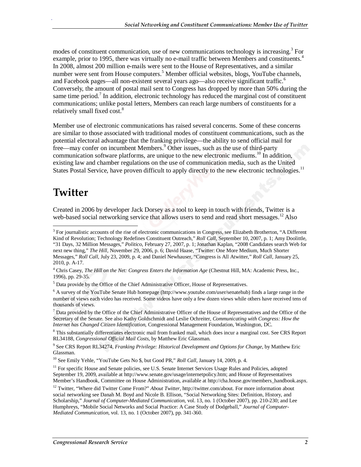modes of constituent communication, use of new communications technology is increasing.<sup>3</sup> For example, prior to 1995, there was virtually no e-mail traffic between Members and constituents.<sup>4</sup> In 2008, almost 200 million e-mails were sent to the House of Representatives, and a similar number were sent from House computers.<sup>5</sup> Member official websites, blogs, YouTube channels, and Facebook pages—all non-existent several years ago—also receive significant traffic.<sup>6</sup> Conversely, the amount of postal mail sent to Congress has dropped by more than 50% during the same time period.<sup>7</sup> In addition, electronic technology has reduced the marginal cost of constituent communications; unlike postal letters, Members can reach large numbers of constituents for a relatively small fixed cost. $8<sup>8</sup>$ 

Member use of electronic communications has raised several concerns. Some of these concerns are similar to those associated with traditional modes of constituent communications, such as the potential electoral advantage that the franking privilege—the ability to send official mail for free—may confer on incumbent Members.<sup>9</sup> Other issues, such as the use of third-party communication software platforms, are unique to the new electronic mediums.<sup>10</sup> In addition, existing law and chamber regulations on the use of communication media, such as the United States Postal Service, have proven difficult to apply directly to the new electronic technologies.<sup>11</sup>

## **Twitter**

.

Created in 2006 by developer Jack Dorsey as a tool to keep in touch with friends, Twitter is a web-based social networking service that allows users to send and read short messages.<sup>12</sup> Also

<sup>&</sup>lt;sup>3</sup> For journalistic accounts of the rise of electronic communications in Congress, see Elizabeth Brotherton, "A Different Kind of Revolution; Technology Redefines Constituent Outreach," *Roll Call*, September 10, 2007, p. 1; Amy Doolittle, "31 Days, 32 Million Messages," *Politico*, February 27, 2007, p. 1; Jonathan Kaplan, "2008 Candidates search Web for next new thing," *The Hill*, November 29, 2006, p. 6; David Haase, "Twitter: One More Medium, Much Shorter Messages," *Roll Call*, July 23, 2009, p. 4; and Daniel Newhauser, "Congress is All Atwitter," *Roll Call*, January 25, 2010, p. A-17.

<sup>&</sup>lt;sup>4</sup> Chris Casey, *The Hill on the Net: Congress Enters the Information Age* (Chestnut Hill, MA: Academic Press, Inc., 1996), pp. 29-35.

<sup>&</sup>lt;sup>5</sup> Data provide by the Office of the Chief Administrative Officer, House of Representatives.

<sup>&</sup>lt;sup>6</sup> A survey of the YouTube Senate Hub homepage (http://www.youtube.com/user/senatehub) finds a large range in the number of views each video has received. Some videos have only a few dozen views while others have received tens of thousands of views.

 $<sup>7</sup>$  Data provided by the Office of the Chief Administrative Officer of the House of Representatives and the Office of the</sup> Secretary of the Senate. See also Kathy Goldschmidt and Leslie Ochreiter, *Communicating with Congress: How the Internet has Changed Citizen Identification*, Congressional Management Foundation, Washington, DC.

<sup>&</sup>lt;sup>8</sup> This substantially differentiates electronic mail from franked mail, which does incur a marginal cost. See CRS Report RL34188, *Congressional Official Mail Costs*, by Matthew Eric Glassman.

<sup>9</sup> See CRS Report RL34274, *Franking Privilege: Historical Development and Options for Change*, by Matthew Eric Glassman.

<sup>10</sup> See Emily Yehle, "YouTube Gets No \$, but Good PR," *Roll Call*, January 14, 2009, p. 4.

<sup>&</sup>lt;sup>11</sup> For specific House and Senate policies, see U.S. Senate Internet Services Usage Rules and Policies, adopted September 19, 2009, available at http://www.senate.gov/usage/internetpolicy.htm; and House of Representatives Member's Handbook, Committee on House Administration, available at http://cha.house.gov/members\_handbook.aspx.

<sup>&</sup>lt;sup>12</sup> Twitter, "Where did Twitter Come From?" *About Twitter*, http://twitter.com/about. For more information about social networking see Danah M. Boyd and Nicole B. Ellison, "Social Networking Sites: Definition, History, and Scholarship," *Journal of Computer-Mediated Communication*, vol. 13, no. 1 (October 2007), pp. 210-230; and Lee Humphreys, "Mobile Social Networks and Social Practice: A Case Study of Dodgeball," *Journal of Computer-Mediated Communication*, vol. 13, no. 1 (October 2007), pp. 341-360.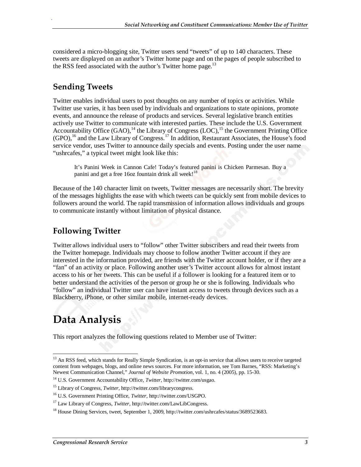considered a micro-blogging site, Twitter users send "tweets" of up to 140 characters. These tweets are displayed on an author's Twitter home page and on the pages of people subscribed to the RSS feed associated with the author's Twitter home page.<sup>13</sup>

### **Sending Tweets**

.

Twitter enables individual users to post thoughts on any number of topics or activities. While Twitter use varies, it has been used by individuals and organizations to state opinions, promote events, and announce the release of products and services. Several legislative branch entities actively use Twitter to communicate with interested parties. These include the U.S. Government Accountability Office  $(GAO)$ , <sup>14</sup> the Library of Congress  $(LOC)$ , <sup>15</sup> the Government Printing Office (GPO),<sup>16</sup> and the Law Library of Congress.<sup>17</sup> In addition, Restaurant Associates, the House's food service vendor, uses Twitter to announce daily specials and events. Posting under the user name "ushrcafes," a typical tweet might look like this:

It's Panini Week in Cannon Cafe! Today's featured panini is Chicken Parmesan. Buy a panini and get a free 16oz fountain drink all week!<sup>18</sup>

Because of the 140 character limit on tweets, Twitter messages are necessarily short. The brevity of the messages highlights the ease with which tweets can be quickly sent from mobile devices to followers around the world. The rapid transmission of information allows individuals and groups to communicate instantly without limitation of physical distance.

### **Following Twitter**

Twitter allows individual users to "follow" other Twitter subscribers and read their tweets from the Twitter homepage. Individuals may choose to follow another Twitter account if they are interested in the information provided, are friends with the Twitter account holder, or if they are a "fan" of an activity or place. Following another user's Twitter account allows for almost instant access to his or her tweets. This can be useful if a follower is looking for a featured item or to better understand the activities of the person or group he or she is following. Individuals who "follow" an individual Twitter user can have instant access to tweets through devices such as a Blackberry, iPhone, or other similar mobile, internet-ready devices.

## **Data Analysis**

This report analyzes the following questions related to Member use of Twitter:

<sup>-</sup><sup>13</sup> An RSS feed, which stands for Really Simple Syndication, is an opt-in service that allows users to receive targeted content from webpages, blogs, and online news sources. For more information, see Tom Barnes, "RSS: Marketing's Newest Communication Channel," *Journal of Website Promotion*, vol. 1, no. 4 (2005), pp. 15-30.

<sup>14</sup> U.S. Government Accountability Office, *Twitter*, http://twitter.com/usgao.

<sup>15</sup> Library of Congress, *Twitter*, http://twitter.com/librarycongress.

<sup>16</sup> U.S. Government Printing Office, *Twitter*, http://twitter.com/USGPO.

<sup>17</sup> Law Library of Congress, *Twitter*, http://twitter.com/LawLibCongress.

<sup>&</sup>lt;sup>18</sup> House Dining Services, tweet, September 1, 2009, http://twitter.com/ushrcafes/status/3689523683.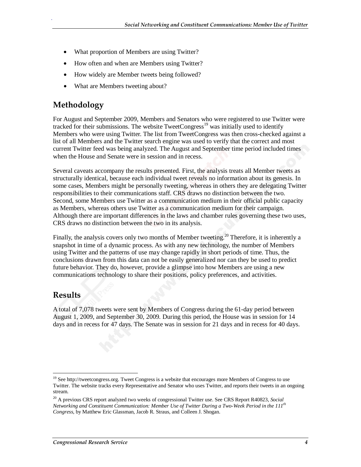- What proportion of Members are using Twitter?
- How often and when are Members using Twitter?
- How widely are Member tweets being followed?
- What are Members tweeting about?

### **Methodology**

.

For August and September 2009, Members and Senators who were registered to use Twitter were tracked for their submissions. The website TweetCongress<sup>19</sup> was initially used to identify Members who were using Twitter. The list from TweetCongress was then cross-checked against a list of all Members and the Twitter search engine was used to verify that the correct and most current Twitter feed was being analyzed. The August and September time period included times when the House and Senate were in session and in recess.

Several caveats accompany the results presented. First, the analysis treats all Member tweets as structurally identical, because each individual tweet reveals no information about its genesis. In some cases, Members might be personally tweeting, whereas in others they are delegating Twitter responsibilities to their communications staff. CRS draws no distinction between the two. Second, some Members use Twitter as a communication medium in their official public capacity as Members, whereas others use Twitter as a communication medium for their campaign. Although there are important differences in the laws and chamber rules governing these two uses, CRS draws no distinction between the two in its analysis.

Finally, the analysis covers only two months of Member tweeting.<sup>20</sup> Therefore, it is inherently a snapshot in time of a dynamic process. As with any new technology, the number of Members using Twitter and the patterns of use may change rapidly in short periods of time. Thus, the conclusions drawn from this data can not be easily generalized nor can they be used to predict future behavior. They do, however, provide a glimpse into how Members are using a new communications technology to share their positions, policy preferences, and activities.

#### **Results**

-

A total of 7,078 tweets were sent by Members of Congress during the 61-day period between August 1, 2009, and September 30, 2009. During this period, the House was in session for 14 days and in recess for 47 days. The Senate was in session for 21 days and in recess for 40 days.

<sup>&</sup>lt;sup>19</sup> See http://tweetcongress.org. Tweet Congress is a website that encourages more Members of Congress to use Twitter. The website tracks every Representative and Senator who uses Twitter, and reports their tweets in an ongoing stream.

<sup>20</sup> A previous CRS report analyzed two weeks of congressional Twitter use. See CRS Report R40823, *Social Networking and Constituent Communication: Member Use of Twitter During a Two-Week Period in the 111th Congress*, by Matthew Eric Glassman, Jacob R. Straus, and Colleen J. Shogan.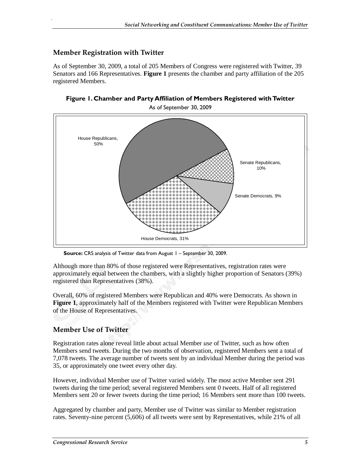#### **Member Registration with Twitter**

.

As of September 30, 2009, a total of 205 Members of Congress were registered with Twitter, 39 Senators and 166 Representatives. **Figure 1** presents the chamber and party affiliation of the 205 registered Members.

**Figure 1. Chamber and Party Affiliation of Members Registered with Twitter**  As of September 30, 2009



**Source:** CRS analysis of Twitter data from August 1 – September 30, 2009.

Although more than 80% of those registered were Representatives, registration rates were approximately equal between the chambers, with a slightly higher proportion of Senators (39%) registered than Representatives (38%).

Overall, 60% of registered Members were Republican and 40% were Democrats. As shown in **Figure 1**, approximately half of the Members registered with Twitter were Republican Members of the House of Representatives.

#### **Member Use of Twitter**

Registration rates alone reveal little about actual Member *use* of Twitter, such as how often Members send tweets. During the two months of observation, registered Members sent a total of 7,078 tweets. The average number of tweets sent by an individual Member during the period was 35, or approximately one tweet every other day.

However, individual Member use of Twitter varied widely. The most active Member sent 291 tweets during the time period; several registered Members sent 0 tweets. Half of all registered Members sent 20 or fewer tweets during the time period; 16 Members sent more than 100 tweets.

Aggregated by chamber and party, Member use of Twitter was similar to Member registration rates. Seventy-nine percent (5,606) of all tweets were sent by Representatives, while 21% of all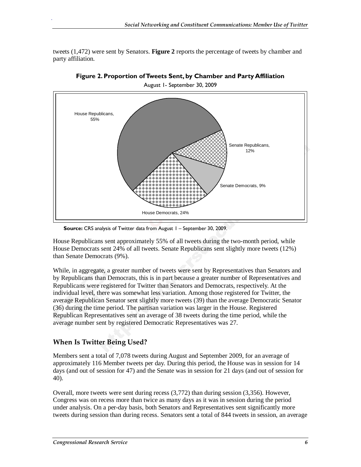tweets (1,472) were sent by Senators. **Figure 2** reports the percentage of tweets by chamber and party affiliation.





August 1- September 30, 2009



House Republicans sent approximately 55% of all tweets during the two-month period, while House Democrats sent 24% of all tweets. Senate Republicans sent slightly more tweets (12%) than Senate Democrats (9%).

While, in aggregate, a greater number of tweets were sent by Representatives than Senators and by Republicans than Democrats, this is in part because a greater number of Representatives and Republicans were registered for Twitter than Senators and Democrats, respectively. At the individual level, there was somewhat less variation. Among those registered for Twitter, the average Republican Senator sent slightly more tweets (39) than the average Democratic Senator (36) during the time period. The partisan variation was larger in the House. Registered Republican Representatives sent an average of 38 tweets during the time period, while the average number sent by registered Democratic Representatives was 27.

#### **When Is Twitter Being Used?**

.

Members sent a total of 7,078 tweets during August and September 2009, for an average of approximately 116 Member tweets per day. During this period, the House was in session for 14 days (and out of session for 47) and the Senate was in session for 21 days (and out of session for 40).

Overall, more tweets were sent during recess (3,772) than during session (3,356). However, Congress was on recess more than twice as many days as it was in session during the period under analysis. On a per-day basis, both Senators and Representatives sent significantly more tweets during session than during recess. Senators sent a total of 844 tweets in session, an average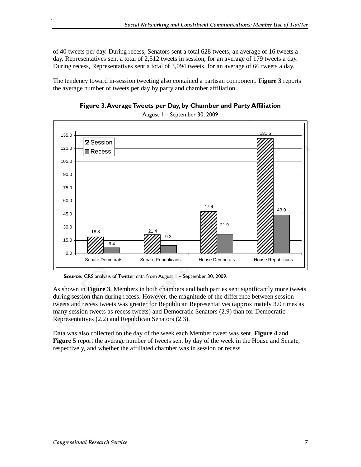of 40 tweets per day. During recess, Senators sent a total 628 tweets, an average of 16 tweets a day. Representatives sent a total of 2,512 tweets in session, for an average of 179 tweets a day. During recess, Representatives sent a total of 3,094 tweets, for an average of 66 tweets a day.

The tendency toward in-session tweeting also contained a partisan component. **Figure 3** reports the average number of tweets per day by party and chamber affiliation.



**Figure 3. Average Tweets per Day, by Chamber and Party Affiliation** 

August 1 – September 30, 2009

**Source:** CRS analysis of Twitter data from August 1 – September 30, 2009.

As shown in **Figure 3**, Members in both chambers and both parties sent significantly more tweets during session than during recess. However, the magnitude of the difference between session tweets and recess tweets was greater for Republican Representatives (approximately 3.0 times as many session tweets as recess tweets) and Democratic Senators (2.9) than for Democratic Representatives (2.2) and Republican Senators (2.3).

Data was also collected on the day of the week each Member tweet was sent. **Figure 4** and **Figure 5** report the average number of tweets sent by day of the week in the House and Senate, respectively, and whether the affiliated chamber was in session or recess.

.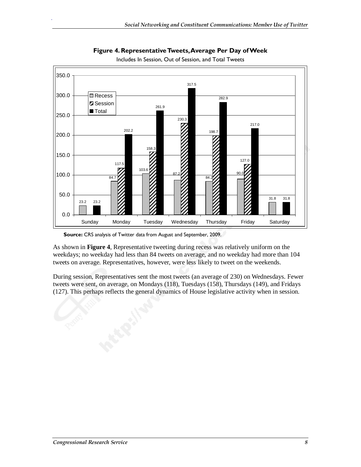

**Figure 4. Representative Tweets, Average Per Day of Week** 

Includes In Session, Out of Session, and Total Tweets

As shown in **Figure 4**, Representative tweeting during recess was relatively uniform on the weekdays; no weekday had less than 84 tweets on average, and no weekday had more than 104 tweets on average. Representatives, however, were less likely to tweet on the weekends.

During session, Representatives sent the most tweets (an average of 230) on Wednesdays. Fewer tweets were sent, on average, on Mondays (118), Tuesdays (158), Thursdays (149), and Fridays (127). This perhaps reflects the general dynamics of House legislative activity when in session.

.

**Source:** CRS analysis of Twitter data from August and September, 2009.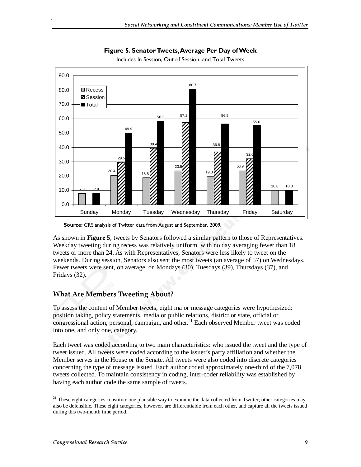

**Figure 5. Senator Tweets, Average Per Day of Week** 

Includes In Session, Out of Session, and Total Tweets

As shown in **Figure 5**, tweets by Senators followed a similar pattern to those of Representatives. Weekday tweeting during recess was relatively uniform, with no day averaging fewer than 18 tweets or more than 24. As with Representatives, Senators were less likely to tweet on the weekends. During session, Senators also sent the most tweets (an average of 57) on Wednesdays. Fewer tweets were sent, on average, on Mondays (30), Tuesdays (39), Thursdays (37), and Fridays (32).

#### **What Are Members Tweeting About?**

.

To assess the content of Member tweets, eight major message categories were hypothesized: position taking, policy statements, media or public relations, district or state, official or congressional action, personal, campaign, and other.<sup>21</sup> Each observed Member tweet was coded into one, and only one, category.

Each tweet was coded according to two main characteristics: who issued the tweet and the type of tweet issued. All tweets were coded according to the issuer's party affiliation and whether the Member serves in the House or the Senate. All tweets were also coded into discrete categories concerning the type of message issued. Each author coded approximately one-third of the 7,078 tweets collected. To maintain consistency in coding, inter-coder reliability was established by having each author code the same sample of tweets.

**Source:** CRS analysis of Twitter data from August and September, 2009.

<sup>-</sup><sup>21</sup> These eight categories constitute one plausible way to examine the data collected from Twitter; other categories may also be defensible. These eight categories, however, are differentiable from each other, and capture all the tweets issued during this two-month time period.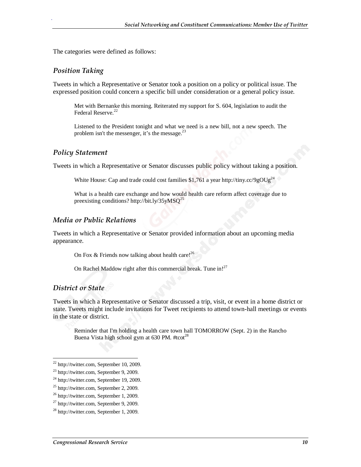The categories were defined as follows:

#### *Position Taking*

.

Tweets in which a Representative or Senator took a position on a policy or political issue. The expressed position could concern a specific bill under consideration or a general policy issue.

Met with Bernanke this morning. Reiterated my support for S. 604, legislation to audit the Federal Reserve.<sup>22</sup>

Listened to the President tonight and what we need is a new bill, not a new speech. The problem isn't the messenger, it's the message.<sup>23</sup>

#### *Policy Statement*

Tweets in which a Representative or Senator discusses public policy without taking a position.

White House: Cap and trade could cost families  $$1,761$  a year http://tiny.cc/9gOUg<sup>24</sup>

What is a health care exchange and how would health care reform affect coverage due to preexisting conditions? http://bit.ly/35y $MSQ^{25}$ 

#### *Media or Public Relations*

Tweets in which a Representative or Senator provided information about an upcoming media appearance.

On Fox  $\&$  Friends now talking about health care!<sup>26</sup>

On Rachel Maddow right after this commercial break. Tune in! $^{27}$ 

#### *District or State*

Tweets in which a Representative or Senator discussed a trip, visit, or event in a home district or state. Tweets might include invitations for Tweet recipients to attend town-hall meetings or events in the state or district.

Reminder that I'm holding a health care town hall TOMORROW (Sept. 2) in the Rancho Buena Vista high school gym at 630 PM.  $\# \text{cot}^{28}$ 

 $\frac{1}{2}$  $22$  http://twitter.com, September 10, 2009.

<sup>23</sup> http://twitter.com, September 9, 2009.

<sup>24</sup> http://twitter.com, September 19, 2009.

<sup>25</sup> http://twitter.com, September 2, 2009.

<sup>&</sup>lt;sup>26</sup> http://twitter.com, September 1, 2009.

 $27$  http://twitter.com, September 9, 2009.

 $^{28}$  http://twitter.com, September 1, 2009.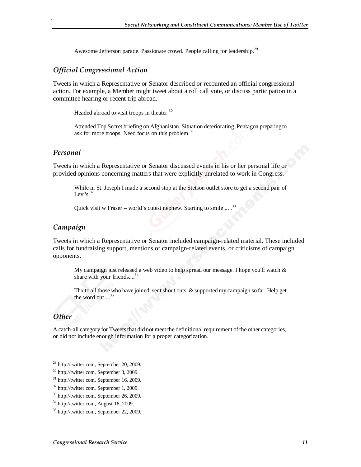Awesome Jefferson parade. Passionate crowd. People calling for leadership.<sup>29</sup>

#### *Official Congressional Action*

Tweets in which a Representative or Senator described or recounted an official congressional action. For example, a Member might tweet about a roll call vote, or discuss participation in a committee hearing or recent trip abroad.

Headed abroad to visit troops in theater.<sup>30</sup>

Attended Top Secret briefing on Afghanistan. Situation deteriorating. Pentagon preparing to ask for more troops. Need focus on this problem.<sup>31</sup>

#### *Personal*

.

Tweets in which a Representative or Senator discussed events in his or her personal life or provided opinions concerning matters that were explicitly unrelated to work in Congress.

While in St. Joseph I made a second stop at the Stetson outlet store to get a second pair of Levi's. $32$ 

Quick visit w Fraser – world's cutest nephew. Starting to smile ... .<sup>33</sup>

#### *Campaign*

Tweets in which a Representative or Senator included campaign-related material. These included calls for fundraising support, mentions of campaign-related events, or criticisms of campaign opponents.

My campaign just released a web video to help spread our message. I hope you'll watch  $\&$ share with your friends....<sup>34</sup>

Thx to all those who have joined, sent shout outs, & supported my campaign so far. Help get the word out... $^{35}$ 

#### *Other*

 $\frac{1}{2}$ 

A catch-all category for Tweets that did not meet the definitional requirement of the other categories, or did not include enough information for a proper categorization.

 $29$  http://twitter.com, September 20, 2009.

<sup>30</sup> http://twitter.com, September 3, 2009.

<sup>31</sup> http://twitter.com, September 16, 2009.

<sup>32</sup> http://twitter.com, September 1, 2009.

<sup>33</sup> http://twitter.com, September 26, 2009.

 $34$  http://twitter.com, August 18, 2009.

<sup>35</sup> http://twitter.com, September 22, 2009.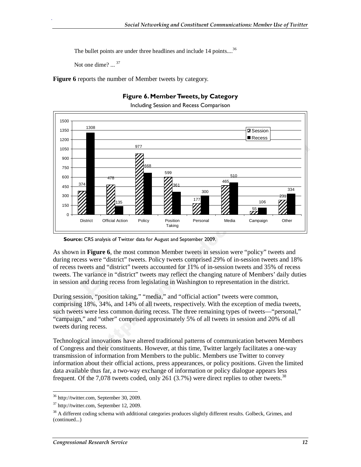The bullet points are under three headlines and include 14 points....<sup>36</sup>

Not one dime? ...<sup>37</sup>

.

**Figure 6** reports the number of Member tweets by category.

#### **Figure 6. Member Tweets, by Category**

Including Session and Recess Comparison



**Source:** CRS analysis of Twitter data for August and September 2009.

As shown in **Figure 6**, the most common Member tweets in session were "policy" tweets and during recess were "district" tweets. Policy tweets comprised 29% of in-session tweets and 18% of recess tweets and "district" tweets accounted for 11% of in-session tweets and 35% of recess tweets. The variance in "district" tweets may reflect the changing nature of Members' daily duties in session and during recess from legislating in Washington to representation in the district.

During session, "position taking," "media," and "official action" tweets were common, comprising 18%, 34%, and 14% of all tweets, respectively. With the exception of media tweets, such tweets were less common during recess. The three remaining types of tweets—"personal," "campaign," and "other" comprised approximately 5% of all tweets in session and 20% of all tweets during recess.

Technological innovations have altered traditional patterns of communication between Members of Congress and their constituents. However, at this time, Twitter largely facilitates a one-way transmission of information from Members to the public. Members use Twitter to convey information about their official actions, press appearances, or policy positions. Given the limited data available thus far, a two-way exchange of information or policy dialogue appears less frequent. Of the 7,078 tweets coded, only 261  $(3.7%)$  were direct replies to other tweets.<sup>38</sup>

<sup>-</sup><sup>36</sup> http://twitter.com, September 30, 2009.

<sup>37</sup> http://twitter.com, September 12, 2009.

 $38$  A different coding schema with additional categories produces slightly different results. Golbeck, Grimes, and (continued...)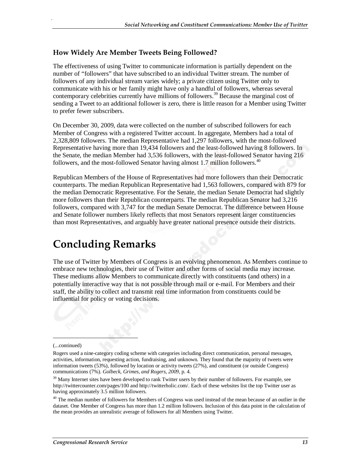#### **How Widely Are Member Tweets Being Followed?**

The effectiveness of using Twitter to communicate information is partially dependent on the number of "followers" that have subscribed to an individual Twitter stream. The number of followers of any individual stream varies widely; a private citizen using Twitter only to communicate with his or her family might have only a handful of followers, whereas several contemporary celebrities currently have millions of followers.<sup>39</sup> Because the marginal cost of sending a Tweet to an additional follower is zero, there is little reason for a Member using Twitter to prefer fewer subscribers.

On December 30, 2009, data were collected on the number of subscribed followers for each Member of Congress with a registered Twitter account. In aggregate, Members had a total of 2,328,809 followers. The median Representative had 1,297 followers, with the most-followed Representative having more than 19,434 followers and the least-followed having 8 followers. In the Senate, the median Member had 3,536 followers, with the least-followed Senator having 216 followers, and the most-followed Senator having almost 1.7 million followers.<sup>40</sup>

Republican Members of the House of Representatives had more followers than their Democratic counterparts. The median Republican Representative had 1,563 followers, compared with 879 for the median Democratic Representative. For the Senate, the median Senate Democrat had slightly more followers than their Republican counterparts. The median Republican Senator had 3,216 followers, compared with 3,747 for the median Senate Democrat. The difference between House and Senate follower numbers likely reflects that most Senators represent larger constituencies than most Representatives, and arguably have greater national presence outside their districts.

### **Concluding Remarks**

The use of Twitter by Members of Congress is an evolving phenomenon. As Members continue to embrace new technologies, their use of Twitter and other forms of social media may increase. These mediums allow Members to communicate directly with constituents (and others) in a potentially interactive way that is not possible through mail or e-mail. For Members and their staff, the ability to collect and transmit real time information from constituents could be influential for policy or voting decisions.

#### (...continued)

1

.

Rogers used a nine-category coding scheme with categories including direct communication, personal messages, activities, information, requesting action, fundraising, and unknown. They found that the majority of tweets were information tweets (53%), followed by location or activity tweets (27%), and constituent (or outside Congress) communications (7%). *Golbeck, Grimes, and Rogers, 2009*, p. 4.

<sup>&</sup>lt;sup>39</sup> Many Internet sites have been developed to rank Twitter users by their number of followers. For example, see http://twittercounter.com/pages/100 and http://twitterholic.com/. Each of these websites list the top Twitter user as having approximately 3.5 million followers.

<sup>&</sup>lt;sup>40</sup> The median number of followers for Members of Congress was used instead of the mean because of an outlier in the dataset. One Member of Congress has more than 1.2 million followers. Inclusion of this data point in the calculation of the mean provides an unrealistic average of followers for all Members using Twitter.